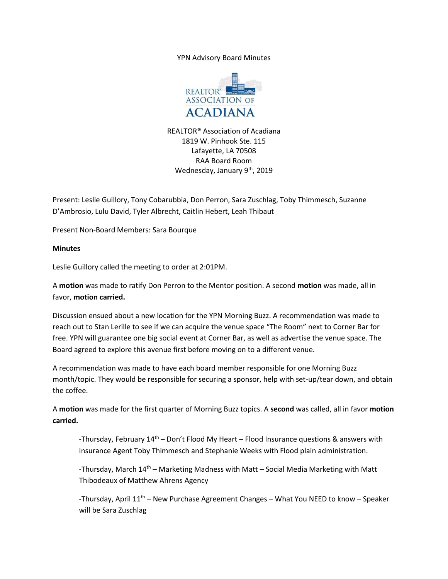YPN Advisory Board Minutes



REALTOR® Association of Acadiana 1819 W. Pinhook Ste. 115 Lafayette, LA 70508 RAA Board Room Wednesday, January 9<sup>th</sup>, 2019

Present: Leslie Guillory, Tony Cobarubbia, Don Perron, Sara Zuschlag, Toby Thimmesch, Suzanne D'Ambrosio, Lulu David, Tyler Albrecht, Caitlin Hebert, Leah Thibaut

Present Non-Board Members: Sara Bourque

## **Minutes**

Leslie Guillory called the meeting to order at 2:01PM.

A **motion** was made to ratify Don Perron to the Mentor position. A second **motion** was made, all in favor, **motion carried.**

Discussion ensued about a new location for the YPN Morning Buzz. A recommendation was made to reach out to Stan Lerille to see if we can acquire the venue space "The Room" next to Corner Bar for free. YPN will guarantee one big social event at Corner Bar, as well as advertise the venue space. The Board agreed to explore this avenue first before moving on to a different venue.

A recommendation was made to have each board member responsible for one Morning Buzz month/topic. They would be responsible for securing a sponsor, help with set-up/tear down, and obtain the coffee.

A **motion** was made for the first quarter of Morning Buzz topics. A **second** was called, all in favor **motion carried.** 

-Thursday, February 14<sup>th</sup> – Don't Flood My Heart – Flood Insurance questions & answers with Insurance Agent Toby Thimmesch and Stephanie Weeks with Flood plain administration.

-Thursday, March  $14<sup>th</sup>$  – Marketing Madness with Matt – Social Media Marketing with Matt Thibodeaux of Matthew Ahrens Agency

-Thursday, April  $11<sup>th</sup>$  – New Purchase Agreement Changes – What You NEED to know – Speaker will be Sara Zuschlag